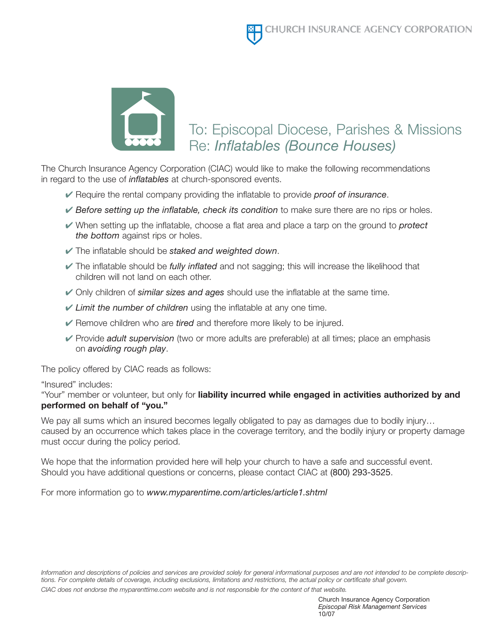

## To: Episcopal Diocese, Parishes & Missions Re: *Inflatables (Bounce Houses)*

The Church Insurance Agency Corporation (CIAC) would like to make the following recommendations in regard to the use of *inflatables* at church-sponsored events.

- ✔ Require the rental company providing the inflatable to provide *proof of insurance*.
- ✔ *Before setting up the inflatable, check its condition* to make sure there are no rips or holes.
- ✔ When setting up the inflatable, choose a flat area and place a tarp on the ground to *protect the bottom* against rips or holes.
- ✔ The inflatable should be *staked and weighted down*.
- ✔ The inflatable should be *fully inflated* and not sagging; this will increase the likelihood that children will not land on each other.
- ✔ Only children of *similar sizes and ages* should use the inflatable at the same time.
- ✔ *Limit the number of children* using the inflatable at any one time.
- ✔ Remove children who are *tired* and therefore more likely to be injured.
- ✔ Provide *adult supervision* (two or more adults are preferable) at all times; place an emphasis on *avoiding rough play*.

The policy offered by CIAC reads as follows:

"Insured" includes:

"Your" member or volunteer, but only for **liability incurred while engaged in activities authorized by and performed on behalf of "you."**

We pay all sums which an insured becomes legally obligated to pay as damages due to bodily injury... caused by an occurrence which takes place in the coverage territory, and the bodily injury or property damage must occur during the policy period.

We hope that the information provided here will help your church to have a safe and successful event. Should you have additional questions or concerns, please contact CIAC at (800) 293-3525.

For more information go to *www.myparentime.com/articles/article1.shtml*

*Information and descriptions of policies and services are provided solely for general informational purposes and are not intended to be complete descriptions. For complete details of coverage, including exclusions, limitations and restrictions, the actual policy or certificate shall govern. CIAC does not endorse the myparenttime.com website and is not responsible for the content of that website.*

> Church Insurance Agency Corporation *Episcopal Risk Management Services* 10/07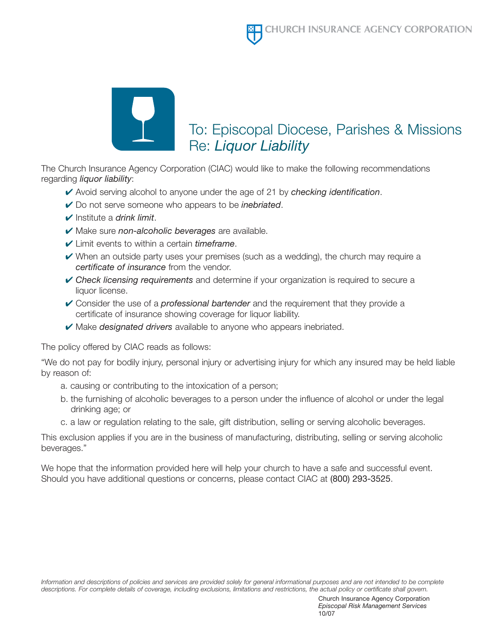

## To: Episcopal Diocese, Parishes & Missions Re: *Liquor Liability*

The Church Insurance Agency Corporation (CIAC) would like to make the following recommendations regarding *liquor liability*:

- ✔ Avoid serving alcohol to anyone under the age of 21 by *checking identification*.
- ✔ Do not serve someone who appears to be *inebriated*.
- ✔ Institute a *drink limit*.
- ✔ Make sure *non-alcoholic beverages* are available.
- ✔ Limit events to within a certain *timeframe*.
- $\vee$  When an outside party uses your premises (such as a wedding), the church may require a *certificate of insurance* from the vendor.
- ✔ *Check licensing requirements* and determine if your organization is required to secure a liquor license.
- ✔ Consider the use of a *professional bartender* and the requirement that they provide a certificate of insurance showing coverage for liquor liability.
- ✔ Make *designated drivers* available to anyone who appears inebriated.

The policy offered by CIAC reads as follows:

"We do not pay for bodily injury, personal injury or advertising injury for which any insured may be held liable by reason of:

- a. causing or contributing to the intoxication of a person;
- b. the furnishing of alcoholic beverages to a person under the influence of alcohol or under the legal drinking age; or
- c. a law or regulation relating to the sale, gift distribution, selling or serving alcoholic beverages.

This exclusion applies if you are in the business of manufacturing, distributing, selling or serving alcoholic beverages."

We hope that the information provided here will help your church to have a safe and successful event. Should you have additional questions or concerns, please contact CIAC at (800) 293-3525.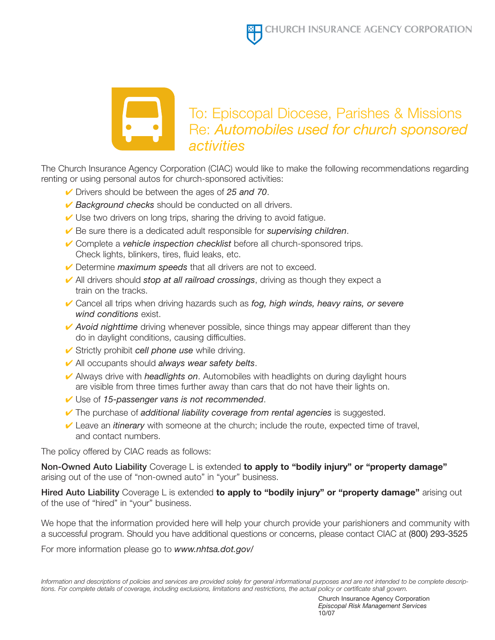

### To: Episcopal Diocese, Parishes & Missions Re: *Automobiles used for church sponsored activities*

The Church Insurance Agency Corporation (CIAC) would like to make the following recommendations regarding renting or using personal autos for church-sponsored activities:

- ✔ Drivers should be between the ages of *25 and 70*.
- ✔ *Background checks* should be conducted on all drivers.
- $\vee$  Use two drivers on long trips, sharing the driving to avoid fatigue.
- ✔ Be sure there is a dedicated adult responsible for *supervising children*.
- ✔ Complete a *vehicle inspection checklist* before all church-sponsored trips. Check lights, blinkers, tires, fluid leaks, etc.
- ✔ Determine *maximum speeds* that all drivers are not to exceed.
- ✔ All drivers should *stop at all railroad crossings*, driving as though they expect a train on the tracks.
- ✔ Cancel all trips when driving hazards such as *fog, high winds, heavy rains, or severe wind conditions* exist.
- **✓ Avoid nighttime** driving whenever possible, since things may appear different than they do in daylight conditions, causing difficulties.
- ✔ Strictly prohibit *cell phone use* while driving.
- ✔ All occupants should *always wear safety belts*.
- ✔ Always drive with *headlights on*. Automobiles with headlights on during daylight hours are visible from three times further away than cars that do not have their lights on.
- ✔ Use of *15-passenger vans is not recommended*.
- ✔ The purchase of *additional liability coverage from rental agencies* is suggested.
- ✔ Leave an *itinerary* with someone at the church; include the route, expected time of travel, and contact numbers.

The policy offered by CIAC reads as follows:

**Non-Owned Auto Liability** Coverage L is extended **to apply to "bodily injury" or "property damage"** arising out of the use of "non-owned auto" in "your" business.

**Hired Auto Liability** Coverage L is extended **to apply to "bodily injury" or "property damage"** arising out of the use of "hired" in "your" business.

We hope that the information provided here will help your church provide your parishioners and community with a successful program. Should you have additional questions or concerns, please contact CIAC at (800) 293-3525

For more information please go to *www.nhtsa.dot.gov/*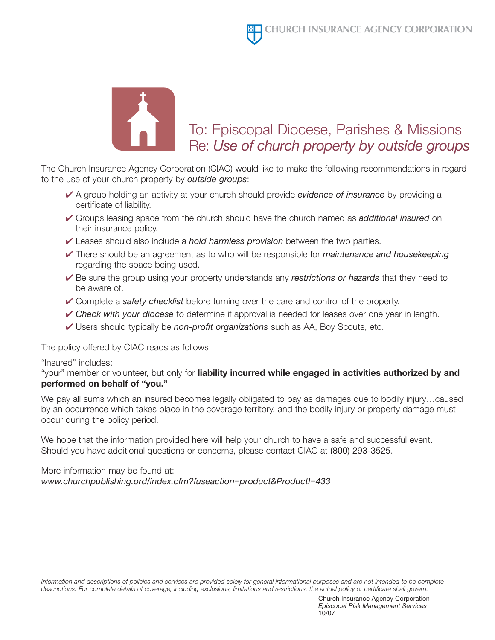

# To: Episcopal Diocese, Parishes & Missions Re: *Use of church property by outside groups*

The Church Insurance Agency Corporation (CIAC) would like to make the following recommendations in regard to the use of your church property by *outside groups*:

- ✔ A group holding an activity at your church should provide *evidence of insurance* by providing a certificate of liability.
- ✔ Groups leasing space from the church should have the church named as *additional insured* on their insurance policy.
- ✔ Leases should also include a *hold harmless provision* between the two parties.
- ✔ There should be an agreement as to who will be responsible for *maintenance and housekeeping* regarding the space being used.
- ✔ Be sure the group using your property understands any *restrictions or hazards* that they need to be aware of.
- ✔ Complete a *safety checklist* before turning over the care and control of the property.
- ✔ *Check with your diocese* to determine if approval is needed for leases over one year in length.
- ✔ Users should typically be *non-profit organizations* such as AA, Boy Scouts, etc.

The policy offered by CIAC reads as follows:

"Insured" includes:

"your" member or volunteer, but only for **liability incurred while engaged in activities authorized by and performed on behalf of "you."**

We pay all sums which an insured becomes legally obligated to pay as damages due to bodily injury...caused by an occurrence which takes place in the coverage territory, and the bodily injury or property damage must occur during the policy period.

We hope that the information provided here will help your church to have a safe and successful event. Should you have additional questions or concerns, please contact CIAC at (800) 293-3525.

More information may be found at: *www.churchpublishing.ord/index.cfm?fuseaction=product&ProductI=433*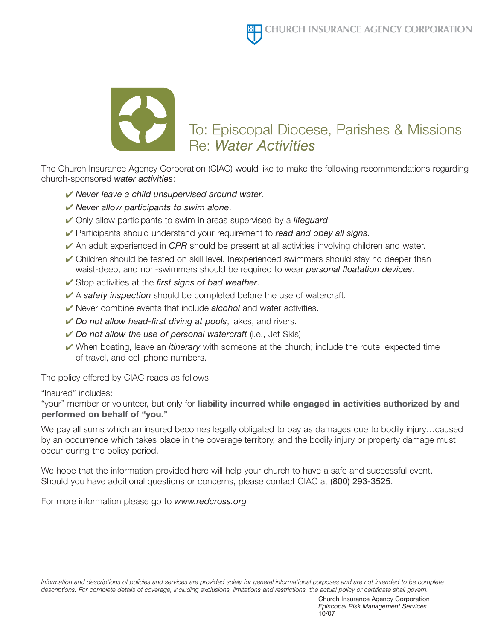

The Church Insurance Agency Corporation (CIAC) would like to make the following recommendations regarding church-sponsored *water activities*:

- *Never leave a child unsupervised around water*.
- *Never allow participants to swim alone*.
- Only allow participants to swim in areas supervised by a *lifeguard*.
- Participants should understand your requirement to *read and obey all signs*.
- An adult experienced in *CPR* should be present at all activities involving children and water.
- $\vee$  Children should be tested on skill level. Inexperienced swimmers should stay no deeper than waist-deep, and non-swimmers should be required to wear *personal floatation devices*.
- Stop activities at the *first signs of bad weather*.
- A *safety inspection* should be completed before the use of watercraft.
- Never combine events that include *alcohol* and water activities.
- *Do not allow head-first diving at pools*, lakes, and rivers.
- *Do not allow the use of personal watercraft* (i.e., Jet Skis)
- When boating, leave an *itinerary* with someone at the church; include the route, expected time of travel, and cell phone numbers.

The policy offered by CIAC reads as follows:

#### "Insured" includes:

"your" member or volunteer, but only for liability incurred while engaged in activities authorized by and performed on behalf of "you."

We pay all sums which an insured becomes legally obligated to pay as damages due to bodily injury…caused by an occurrence which takes place in the coverage territory, and the bodily injury or property damage must occur during the policy period.

We hope that the information provided here will help your church to have a safe and successful event. Should you have additional questions or concerns, please contact CIAC at (800) 293-3525.

For more information please go to *www.redcross.org*